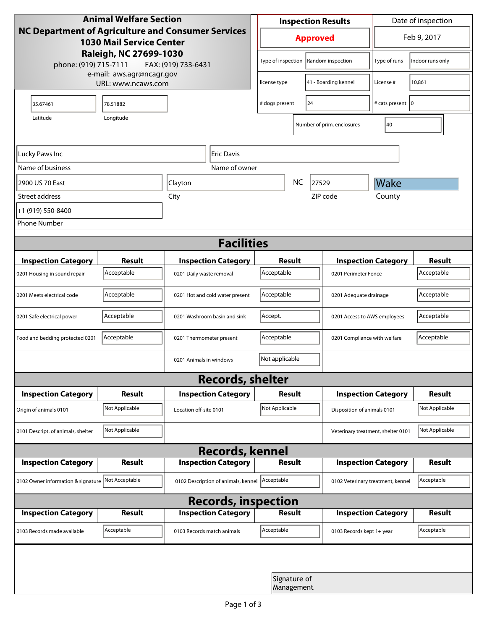| <b>Animal Welfare Section</b><br>NC Department of Agriculture and Consumer Services<br><b>1030 Mail Service Center</b> |                |                                     |                            | <b>Inspection Results</b> |                            |                            | Date of inspection                 |                  |  |
|------------------------------------------------------------------------------------------------------------------------|----------------|-------------------------------------|----------------------------|---------------------------|----------------------------|----------------------------|------------------------------------|------------------|--|
|                                                                                                                        |                |                                     |                            | <b>Approved</b>           |                            |                            | Feb 9, 2017                        |                  |  |
| Raleigh, NC 27699-1030<br>phone: (919) 715-7111<br>FAX: (919) 733-6431                                                 |                |                                     |                            | Type of inspection        |                            | Random inspection          | Type of runs                       | Indoor runs only |  |
| e-mail: aws.agr@ncagr.gov<br>URL: www.ncaws.com                                                                        |                |                                     |                            | license type              |                            | 41 - Boarding kennel       | License #                          | 10,861           |  |
| 35.67461                                                                                                               | 78.51882       |                                     | 24<br># dogs present       |                           |                            | # cats present   0         |                                    |                  |  |
| Latitude                                                                                                               | Longitude      |                                     |                            |                           |                            | Number of prim. enclosures | 40                                 |                  |  |
| Lucky Paws Inc<br>Eric Davis                                                                                           |                |                                     |                            |                           |                            |                            |                                    |                  |  |
| Name of business                                                                                                       |                |                                     | Name of owner              |                           |                            |                            |                                    |                  |  |
| 2900 US 70 East                                                                                                        | Clayton        |                                     |                            | <b>NC</b><br>27529        |                            |                            | Wake                               |                  |  |
| Street address                                                                                                         |                | City                                |                            |                           |                            | ZIP code                   | County                             |                  |  |
| +1 (919) 550-8400                                                                                                      |                |                                     |                            |                           |                            |                            |                                    |                  |  |
| <b>Phone Number</b>                                                                                                    |                |                                     |                            |                           |                            |                            |                                    |                  |  |
| <b>Facilities</b>                                                                                                      |                |                                     |                            |                           |                            |                            |                                    |                  |  |
| <b>Inspection Category</b>                                                                                             | <b>Result</b>  | <b>Inspection Category</b>          |                            | <b>Result</b>             |                            |                            | <b>Inspection Category</b>         |                  |  |
| 0201 Housing in sound repair                                                                                           | Acceptable     | 0201 Daily waste removal            |                            | Acceptable                |                            |                            | 0201 Perimeter Fence               |                  |  |
| 0201 Meets electrical code                                                                                             | Acceptable     | 0201 Hot and cold water present     | Acceptable                 |                           |                            | 0201 Adequate drainage     |                                    |                  |  |
| 0201 Safe electrical power                                                                                             | Acceptable     | 0201 Washroom basin and sink        |                            | Accept.                   |                            |                            | 0201 Access to AWS employees       |                  |  |
| Food and bedding protected 0201                                                                                        | Acceptable     | 0201 Thermometer present            |                            | Acceptable                |                            |                            | 0201 Compliance with welfare       |                  |  |
|                                                                                                                        |                | 0201 Animals in windows             |                            | Not applicable            |                            |                            |                                    |                  |  |
| <b>Records, shelter</b>                                                                                                |                |                                     |                            |                           |                            |                            |                                    |                  |  |
| <b>Inspection Category</b>                                                                                             | <b>Result</b>  |                                     | <b>Inspection Category</b> | Result                    |                            |                            | <b>Inspection Category</b>         | <b>Result</b>    |  |
| Origin of animals 0101                                                                                                 | Not Applicable | Location off-site 0101              |                            | Not Applicable            |                            |                            | Disposition of animals 0101        |                  |  |
| 0101 Descript. of animals, shelter                                                                                     | Not Applicable |                                     |                            |                           |                            |                            | Veterinary treatment, shelter 0101 | Not Applicable   |  |
| <b>Records, kennel</b>                                                                                                 |                |                                     |                            |                           |                            |                            |                                    |                  |  |
| <b>Inspection Category</b>                                                                                             | Result         |                                     | <b>Inspection Category</b> |                           | <b>Result</b>              |                            | <b>Inspection Category</b>         | Result           |  |
| 0102 Owner information & signature Not Acceptable                                                                      |                | 0102 Description of animals, kennel |                            | Acceptable                |                            |                            | 0102 Veterinary treatment, kennel  |                  |  |
| <b>Records, inspection</b>                                                                                             |                |                                     |                            |                           |                            |                            |                                    |                  |  |
| <b>Inspection Category</b>                                                                                             | <b>Result</b>  |                                     | <b>Inspection Category</b> |                           | <b>Result</b>              |                            | <b>Inspection Category</b>         | <b>Result</b>    |  |
| 0103 Records made available                                                                                            | Acceptable     | 0103 Records match animals          |                            | Acceptable                |                            | 0103 Records kept 1+ year  |                                    | Acceptable       |  |
|                                                                                                                        |                |                                     |                            |                           |                            |                            |                                    |                  |  |
|                                                                                                                        |                |                                     |                            |                           | Signature of<br>Management |                            |                                    |                  |  |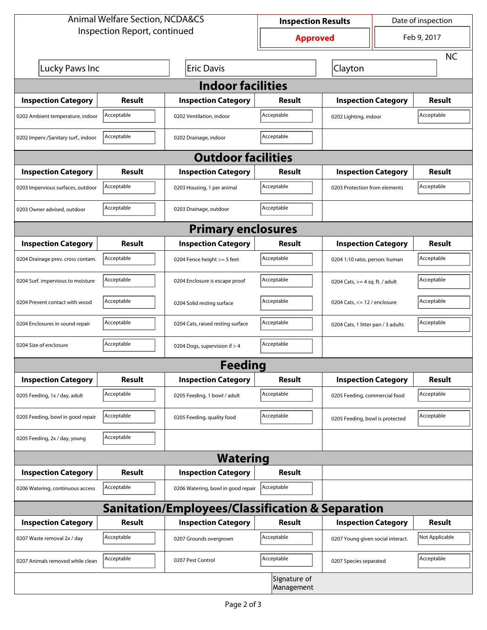| <b>Animal Welfare Section, NCDA&amp;CS</b>                  |                                      |                                    | <b>Inspection Results</b>  |                                    | Date of inspection         |                |  |  |  |
|-------------------------------------------------------------|--------------------------------------|------------------------------------|----------------------------|------------------------------------|----------------------------|----------------|--|--|--|
| Inspection Report, continued                                |                                      |                                    | <b>Approved</b>            |                                    | Feb 9, 2017                |                |  |  |  |
|                                                             |                                      |                                    |                            |                                    |                            | <b>NC</b>      |  |  |  |
| Lucky Paws Inc                                              |                                      | <b>Eric Davis</b>                  |                            | Clayton                            |                            |                |  |  |  |
| <b>Indoor facilities</b>                                    |                                      |                                    |                            |                                    |                            |                |  |  |  |
| <b>Inspection Category</b>                                  | Result                               | <b>Inspection Category</b>         | Result                     |                                    | <b>Inspection Category</b> |                |  |  |  |
| 0202 Ambient temperature, indoor                            | Acceptable                           | 0202 Ventilation, indoor           | Acceptable                 | 0202 Lighting, indoor              |                            | Acceptable     |  |  |  |
| 0202 Imperv./Sanitary surf., indoor                         | Acceptable                           | 0202 Drainage, indoor              | Acceptable                 |                                    |                            |                |  |  |  |
| <b>Outdoor facilities</b>                                   |                                      |                                    |                            |                                    |                            |                |  |  |  |
| <b>Inspection Category</b>                                  | Result<br><b>Inspection Category</b> |                                    | Result                     |                                    | <b>Inspection Category</b> | Result         |  |  |  |
| 0203 Impervious surfaces, outdoor                           | Acceptable                           | 0203 Housing, 1 per animal         | Acceptable                 | 0203 Protection from elements      |                            | Acceptable     |  |  |  |
| 0203 Owner advised, outdoor                                 | Acceptable                           | 0203 Drainage, outdoor             | Acceptable                 |                                    |                            |                |  |  |  |
| <b>Primary enclosures</b>                                   |                                      |                                    |                            |                                    |                            |                |  |  |  |
| <b>Inspection Category</b>                                  | Result                               | <b>Inspection Category</b>         | Result                     |                                    | <b>Inspection Category</b> |                |  |  |  |
| 0204 Drainage prev. cross contam.                           | Acceptable                           | 0204 Fence height >= 5 feet        | Acceptable                 | 0204 1:10 ratio, person: human     |                            | Acceptable     |  |  |  |
| 0204 Surf. impervious to moisture                           | Acceptable                           | 0204 Enclosure is escape proof     | Acceptable                 | 0204 Cats, $>=$ 4 sq. ft. / adult  |                            | Acceptable     |  |  |  |
| 0204 Prevent contact with wood                              | Acceptable                           | 0204 Solid resting surface         | Acceptable                 | 0204 Cats, $<= 12$ / enclosure     |                            | Acceptable     |  |  |  |
| 0204 Enclosures in sound repair                             | Acceptable                           | 0204 Cats, raised resting surface  | Acceptable                 | 0204 Cats, 1 litter pan / 3 adults |                            | Acceptable     |  |  |  |
| 0204 Size of enclosure                                      | Acceptable                           | 0204 Dogs, supervision if > 4      | Acceptable                 |                                    |                            |                |  |  |  |
|                                                             |                                      | <b>Feeding</b>                     |                            |                                    |                            |                |  |  |  |
| <b>Inspection Category</b>                                  | <b>Result</b>                        | <b>Inspection Category</b>         | <b>Result</b>              | <b>Inspection Category</b>         |                            | <b>Result</b>  |  |  |  |
| 0205 Feeding, 1x / day, adult                               | Acceptable                           | 0205 Feeding, 1 bowl / adult       | Acceptable                 | 0205 Feeding, commercial food      |                            | Acceptable     |  |  |  |
| 0205 Feeding, bowl in good repair                           | Acceptable                           | 0205 Feeding, quality food         | Acceptable                 | 0205 Feeding, bowl is protected    |                            | Acceptable     |  |  |  |
| 0205 Feeding, 2x / day, young                               | Acceptable                           |                                    |                            |                                    |                            |                |  |  |  |
|                                                             |                                      | <b>Watering</b>                    |                            |                                    |                            |                |  |  |  |
| <b>Inspection Category</b>                                  | <b>Result</b>                        | <b>Inspection Category</b>         | <b>Result</b>              |                                    |                            |                |  |  |  |
| 0206 Watering, continuous access                            | Acceptable                           | 0206 Watering, bowl in good repair | Acceptable                 |                                    |                            |                |  |  |  |
| <b>Sanitation/Employees/Classification &amp; Separation</b> |                                      |                                    |                            |                                    |                            |                |  |  |  |
| <b>Inspection Category</b>                                  | <b>Result</b>                        | <b>Inspection Category</b>         | Result                     | <b>Inspection Category</b>         |                            | <b>Result</b>  |  |  |  |
| 0207 Waste removal 2x / day                                 | Acceptable                           | 0207 Grounds overgrown             | Acceptable                 | 0207 Young given social interact.  |                            | Not Applicable |  |  |  |
| 0207 Animals removed while clean                            | Acceptable                           | 0207 Pest Control                  | Acceptable                 | 0207 Species separated             |                            | Acceptable     |  |  |  |
|                                                             |                                      |                                    | Signature of<br>Management |                                    |                            |                |  |  |  |